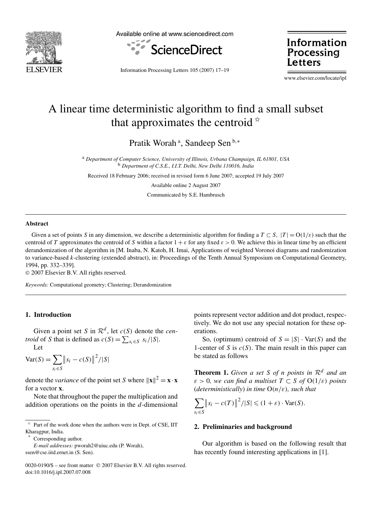

Available online at www.sciencedirect.com



Information Processing **Letters** 

Information Processing Letters 105 (2007) 17–19

www.elsevier.com/locate/ipl

# A linear time deterministic algorithm to find a small subset that approximates the centroid  $\dot{x}$

Pratik Worah<sup>a</sup>, Sandeep Sen<sup>b,∗</sup>

<sup>a</sup> *Department of Computer Science, University of Illinois, Urbana Champaign, IL 61801, USA* <sup>b</sup> *Department of C.S.E., I.I.T. Delhi, New Delhi 110016, India*

Received 18 February 2006; received in revised form 6 June 2007; accepted 19 July 2007

Available online 2 August 2007

Communicated by S.E. Hambrusch

# **Abstract**

Given a set of points *S* in any dimension, we describe a deterministic algorithm for finding a  $T \subset S$ ,  $|T| = O(1/\varepsilon)$  such that the centroid of *T* approximates the centroid of *S* within a factor  $1 + \varepsilon$  for any fixed  $\varepsilon > 0$ . We achieve this in linear time by an efficient derandomization of the algorithm in [M. Inaba, N. Katoh, H. Imai, Applications of weighted Voronoi diagrams and randomization to variance-based *k*-clustering (extended abstract), in: Proceedings of the Tenth Annual Symposium on Computational Geometry, 1994, pp. 332–339].

© 2007 Elsevier B.V. All rights reserved.

*Keywords:* Computational geometry; Clustering; Derandomization

## **1. Introduction**

Given a point set *S* in  $\mathcal{R}^d$ , let  $c(S)$  denote the *centroid* of *S* that is defined as  $c(S) = \sum_{s_i \in S} s_i / |S|$ .

Let

$$
Var(S) = \sum_{s_i \in S} ||s_i - c(S)||^2 / |S|
$$

denote the *variance* of the point set *S* where  $||\mathbf{x}||^2 = \mathbf{x} \cdot \mathbf{x}$ for a vector **x**.

Note that throughout the paper the multiplication and addition operations on the points in the *d*-dimensional

Corresponding author.

*E-mail addresses:* pworah2@uiuc.edu (P. Worah), ssen@cse.iitd.ernet.in (S. Sen).

points represent vector addition and dot product, respectively. We do not use any special notation for these operations.

So, (optimum) centroid of  $S = |S| \cdot \text{Var}(S)$  and the 1-center of *S* is *c(S)*. The main result in this paper can be stated as follows

**Theorem 1.** *Given a set S of n points in*  $\mathbb{R}^d$  *and an*  $\varepsilon > 0$ *, we can find a multiset*  $T \subset S$  *of*  $O(1/\varepsilon)$  *points* (*deterministically*) *in time* O*(n/ε), such that*

$$
\sum_{s_i \in S} ||s_i - c(T)||^2 / |S| \leq (1 + \varepsilon) \cdot \text{Var}(S).
$$

# **2. Preliminaries and background**

Our algorithm is based on the following result that has recently found interesting applications in [1].

 $*$  Part of the work done when the authors were in Dept. of CSE, IIT Kharagpur, India.

<sup>0020-0190/\$ –</sup> see front matter © 2007 Elsevier B.V. All rights reserved. doi:10.1016/j.ipl.2007.07.008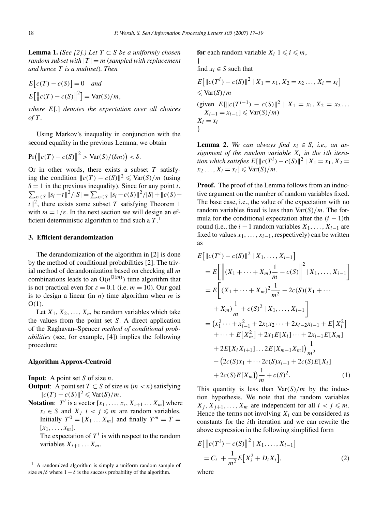{

**Lemma 1.** *(See [2].) Let*  $T ⊂ S$  *be a uniformly chosen random subset with*  $|T| = m$  (*sampled with replacement and hence T is a multiset*)*. Then*

$$
E[c(T) - c(S)] = 0 \quad and
$$
  

$$
E[\left||c(T) - c(S)\right|^2] = \text{Var}(S)/m,
$$

*where E*[*.*] *denotes the expectation over all choices of T .*

Using Markov's inequality in conjunction with the second equality in the previous Lemma, we obtain

$$
Pr(|c(T) - c(S)||^2 > Var(S)/(\delta m)) < \delta.
$$

Or in other words, there exists a subset *T* satisfying the condition  $||c(T) - c(S)||^2 \le \text{Var}(S)/m$  (using  $\sum_{s_i \in S} ||s_i - t||^2 / |S| = \sum_{s_i \in S} ||s_i - c(S)||^2 / |S| + ||c(S) - t||^2$  $\delta = 1$  in the previous inequality). Since for any point *t*,  $|t|^2$ , there exists some subset *T* satisfying Theorem 1 with  $m = 1/\varepsilon$ . In the next section we will design an efficient deterministic algorithm to find such a *T* . 1

# **3. Efficient derandomization**

The derandomization of the algorithm in [2] is done by the method of conditional probabilities [2]. The trivial method of derandomization based on checking all *m* combinations leads to an  $O(n^{O(m)})$  time algorithm that is not practical even for  $\varepsilon = 0.1$  (i.e.  $m = 10$ ). Our goal is to design a linear (in *n*) time algorithm when *m* is O*(*1*)*.

Let  $X_1, X_2, \ldots, X_m$  be random variables which take the values from the point set *S*. A direct application of the Raghavan–Spencer *method of conditional probabilities* (see, for example, [4]) implies the following procedure:

#### **Algorithm Approx-Centroid**

**Input**: A point set *S* of size *n*.

- **Output**: A point set  $T \subset S$  of size  $m$  ( $m < n$ ) satisfying  $||c(T) - c(S)||^2$  ≤ Var(*S*)/*m*.
- **Notation:**  $T^i$  is a vector  $[x_1, \ldots, x_i, X_{i+1} \ldots X_m]$  where  $x_i \in S$  and  $X_j$   $i < j \le m$  are random variables. Initially  $T^0 = [X_1 \dots X_m]$  and finally  $T^m = T =$  $[x_1, \ldots, x_m].$

The expectation of  $T^i$  is with respect to the random variables  $X_{i+1} \ldots X_m$ .

**for** each random variable  $X_i$   $1 \leq i \leq m$ ,

find  $x_i \in S$  such that

$$
E[||c(T^{i}) - c(S)||^{2} | X_{1} = x_{1}, X_{2} = x_{2} ..., X_{i} = x_{i}]
$$
  
\n
$$
\leq \text{Var}(S)/m
$$
  
\n(given  $E[||c(T^{i-1}) - c(S)||^{2} | X_{1} = x_{1}, X_{2} = x_{2} ...$   
\n $X_{i-1} = x_{i-1} \leq \text{Var}(S)/m$ )  
\n $X_{i} = x_{i}$ 

**Lemma 2.** We can always find  $x_i \in S$ , i.e., an assignment of the random variable  $X_i$  in the *i*th itera*tion which satisfies*  $E[\|c(T^{i}) - c(S)\|^{2} | X_{1} = x_{1}, X_{2} = x_{2}$  $x_2 \ldots, X_i = x_i$ ]  $\leq$   $\text{Var}(S)/m$ *.* 

**Proof.** The proof of the Lemma follows from an inductive argument on the number of random variables fixed. The base case, i.e., the value of the expectation with no random variables fixed is less than Var*(S)/m*. The formula for the conditional expectation after the  $(i - 1)$ th round (i.e., the  $i - 1$  random variables  $X_1, \ldots, X_{i-1}$  are fixed to values  $x_1, \ldots, x_{i-1}$ , respectively) can be written as

$$
E[||c(T^{i}) - c(S)||^{2} | X_{1},..., X_{i-1}]
$$
\n
$$
= E\left[\left\|(X_{1} + \dots + X_{m})\frac{1}{m} - c(S)\right\|^{2} | X_{1},..., X_{i-1}\right]
$$
\n
$$
= E\left[(X_{1} + \dots + X_{m})^{2}\frac{1}{m^{2}} - 2c(S)(X_{1} + \dots + X_{m})\frac{1}{m} + c(S)^{2} | X_{1},..., X_{i-1}\right]
$$
\n
$$
= (x_{1}^{2} \dots + x_{i-1}^{2} + 2x_{1}x_{2} \dots + 2x_{i-2}x_{i-1} + E[X_{i}^{2}]
$$
\n
$$
+ \dots + E[X_{m}^{2}] + 2x_{1}E[X_{i}] \dots + 2x_{i-1}E[X_{m}]
$$
\n
$$
+ 2E[X_{i}X_{i+1}] \dots 2E[X_{m-1}X_{m}]\frac{1}{m^{2}}
$$
\n
$$
- (2c(S)x_{1} + \dots + 2c(S)x_{i-1} + 2c(S)E[X_{i}]
$$
\n
$$
+ 2c(S)E[X_{m}]\frac{1}{m} + c(S)^{2}.
$$
\n(1)

This quantity is less than  $\text{Var}(S)/m$  by the induction hypothesis. We note that the random variables  $X_j, X_{j+1}, \ldots, X_m$  are independent for all  $i < j \leq m$ . Hence the terms not involving  $X_i$  can be considered as constants for the *i*th iteration and we can rewrite the above expression in the following simplified form

$$
E\left[\left\|c(T^{i}) - c(S)\right\|^{2} | X_{1}, \dots, X_{i-1}\right]
$$
  
=  $C_{i} + \frac{1}{m^{2}} E[X_{i}^{2} + D_{i} X_{i}],$  (2)

where

<sup>1</sup> A randomized algorithm is simply a uniform random sample of size  $m/\delta$  where  $1 - \delta$  is the success probability of the algorithm.